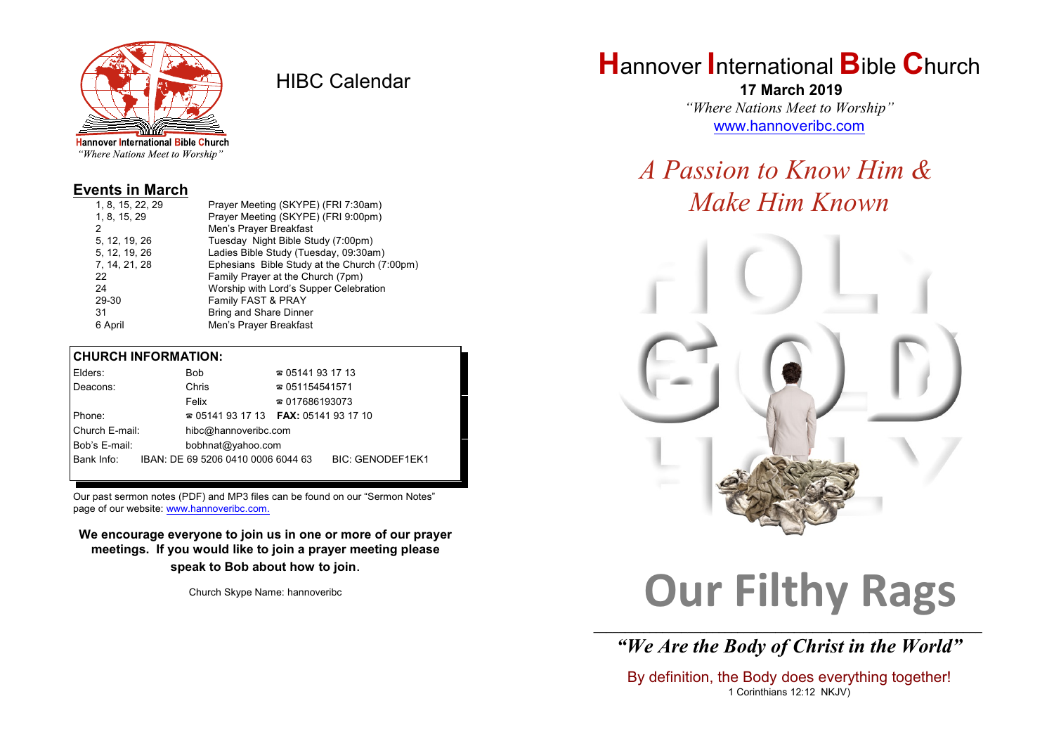

HIBC Calendar

"Where Nations Meet to Worship"

#### **Events in March**

| Prayer Meeting (SKYPE) (FRI 7:30am)          |
|----------------------------------------------|
| Prayer Meeting (SKYPE) (FRI 9:00pm)          |
| Men's Prayer Breakfast                       |
| Tuesday Night Bible Study (7:00pm)           |
| Ladies Bible Study (Tuesday, 09:30am)        |
| Ephesians Bible Study at the Church (7:00pm) |
| Family Prayer at the Church (7pm)            |
| Worship with Lord's Supper Celebration       |
| Family FAST & PRAY                           |
| <b>Bring and Share Dinner</b>                |
| Men's Prayer Breakfast                       |
|                                              |

#### **CHURCH INFORMATION:**

|                                    | Elders:    |  | Bob                                      | $\approx 05141931713$  |                         |
|------------------------------------|------------|--|------------------------------------------|------------------------|-------------------------|
|                                    | Deacons:   |  | Chris                                    | $\approx 051154541571$ |                         |
|                                    |            |  | Felix                                    | $\approx 017686193073$ |                         |
|                                    | Phone:     |  | $\approx 05141931713$ FAX: 0514193 17 10 |                        |                         |
| Church E-mail:                     |            |  | hibc@hannoveribc.com                     |                        |                         |
| Bob's E-mail:<br>bobhnat@yahoo.com |            |  |                                          |                        |                         |
|                                    | Bank Info: |  | IBAN: DE 69 5206 0410 0006 6044 63       |                        | <b>BIC: GENODEF1EK1</b> |
|                                    |            |  |                                          |                        |                         |

Our past sermon notes (PDF) and MP3 files can be found on our "Sermon Notes" page of our website: [www.hannoveribc.com.](http://www.hannoveribc.com.)

**We encourage everyone to join us in one or more of our prayer meetings. If you would like to join a prayer meeting please speak to Bob about how to join**.

Church Skype Name: hannoveribc

# **H**annover **I**nternational **B**ible **C**hurch

 **17 March 2019** *"Where Nations Meet to Worship"* [www.hannoveribc.com](http://www.hannoveribc.com)

# *A Passion to Know Him & Make Him Known*



# **Our Filthy Rags**

\_\_\_\_\_\_\_\_\_\_\_\_\_\_\_\_\_\_\_\_\_\_\_\_\_\_\_\_\_\_\_\_\_\_\_\_\_\_\_\_\_\_\_\_\_\_\_\_\_\_\_\_\_\_\_\_\_\_\_\_\_\_ *"We Are the Body of Christ in the World"*

By definition, the Body does everything together! 1 Corinthians 12:12 NKJV)